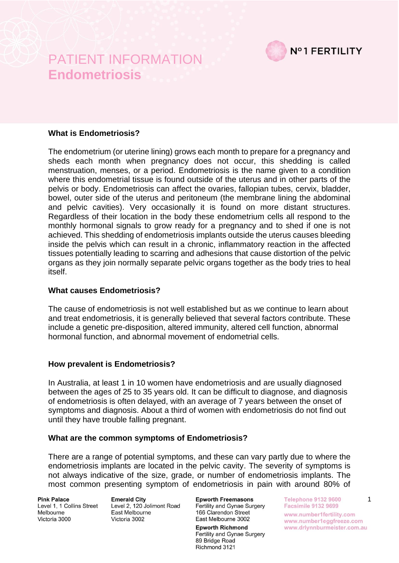

### **What is Endometriosis?**

The endometrium (or uterine lining) grows each month to prepare for a pregnancy and sheds each month when pregnancy does not occur, this shedding is called menstruation, menses, or a period. Endometriosis is the name given to a condition where this endometrial tissue is found outside of the uterus and in other parts of the pelvis or body. Endometriosis can affect the ovaries, fallopian tubes, cervix, bladder, bowel, outer side of the uterus and peritoneum (the membrane lining the abdominal and pelvic cavities). Very occasionally it is found on more distant structures. Regardless of their location in the body these endometrium cells all respond to the monthly hormonal signals to grow ready for a pregnancy and to shed if one is not achieved. This shedding of endometriosis implants outside the uterus causes bleeding inside the pelvis which can result in a chronic, inflammatory reaction in the affected tissues potentially leading to scarring and adhesions that cause distortion of the pelvic organs as they join normally separate pelvic organs together as the body tries to heal itself.

### **What causes Endometriosis?**

The cause of endometriosis is not well established but as we continue to learn about and treat endometriosis, it is generally believed that several factors contribute. These include a genetic pre-disposition, altered immunity, altered cell function, abnormal hormonal function, and abnormal movement of endometrial cells.

### **How prevalent is Endometriosis?**

In Australia, at least 1 in 10 women have endometriosis and are usually diagnosed between the ages of 25 to 35 years old. It can be difficult to diagnose, and diagnosis of endometriosis is often delayed, with an average of 7 years between the onset of symptoms and diagnosis. About a third of women with endometriosis do not find out until they have trouble falling pregnant.

#### **What are the common symptoms of Endometriosis?**

There are a range of potential symptoms, and these can vary partly due to where the endometriosis implants are located in the pelvic cavity. The severity of symptoms is not always indicative of the size, grade, or number of endometriosis implants. The most common presenting symptom of endometriosis in pain with around 80% of

**Pink Palace** Level 1, 1 Collins Street Melbourne Victoria 3000

**Emerald City** Level 2, 120 Jolimont Road East Melbourne Victoria 3002

**Epworth Freemasons** Fertility and Gynae Surgery 166 Clarendon Street East Melbourne 3002

**Epworth Richmond** Fertility and Gynae Surgery 89 Bridge Road Richmond 3121

**Telephone 9132 9600** Facsimile 9132 9699 www.number1fertility.com www.number1eggfreeze.com www.drlynnburmeister.com.au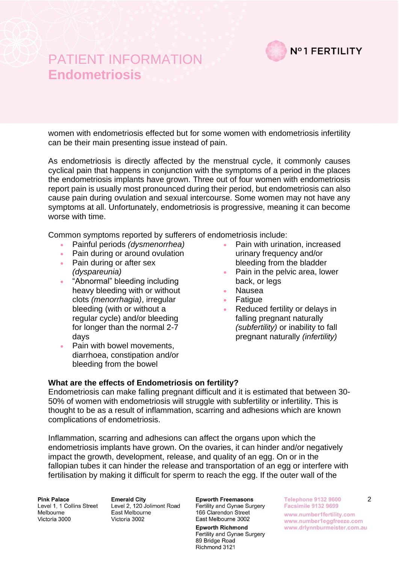

women with endometriosis effected but for some women with endometriosis infertility can be their main presenting issue instead of pain.

As endometriosis is directly affected by the menstrual cycle, it commonly causes cyclical pain that happens in conjunction with the symptoms of a period in the places the endometriosis implants have grown. Three out of four women with endometriosis report pain is usually most pronounced during their period, but endometriosis can also cause pain during ovulation and sexual intercourse. Some women may not have any symptoms at all. Unfortunately, endometriosis is progressive, meaning it can become worse with time.

Common symptoms reported by sufferers of endometriosis include:

- Painful periods *(dysmenorrhea)*
- Pain during or around ovulation
- Pain during or after sex *(dyspareunia)*
- "Abnormal" bleeding including heavy bleeding with or without clots *(menorrhagia)*, irregular bleeding (with or without a regular cycle) and/or bleeding for longer than the normal 2-7 days
- Pain with bowel movements, diarrhoea, constipation and/or bleeding from the bowel
- Pain with urination, increased urinary frequency and/or bleeding from the bladder
- Pain in the pelvic area, lower back, or legs
- Nausea
- **Fatigue**
- Reduced fertility or delays in falling pregnant naturally *(subfertility)* or inability to fall pregnant naturally *(infertility)*

#### **What are the effects of Endometriosis on fertility?**

Endometriosis can make falling pregnant difficult and it is estimated that between 30- 50% of women with endometriosis will struggle with subfertility or infertility. This is thought to be as a result of inflammation, scarring and adhesions which are known complications of endometriosis.

Inflammation, scarring and adhesions can affect the organs upon which the endometriosis implants have grown. On the ovaries, it can hinder and/or negatively impact the growth, development, release, and quality of an egg. On or in the fallopian tubes it can hinder the release and transportation of an egg or interfere with fertilisation by making it difficult for sperm to reach the egg. If the outer wall of the

**Pink Palace** Level 1, 1 Collins Street Melbourne Victoria 3000

**Emerald City** Level 2, 120 Jolimont Road East Melbourne Victoria 3002

**Epworth Freemasons** Fertility and Gynae Surgery 166 Clarendon Street East Melbourne 3002

**Epworth Richmond** Fertility and Gynae Surgery 89 Bridge Road Richmond 3121

**Telephone 9132 9600 Facsimile 9132 9699** www.number1fertility.com

www.number1eggfreeze.com www.drlynnburmeister.com.au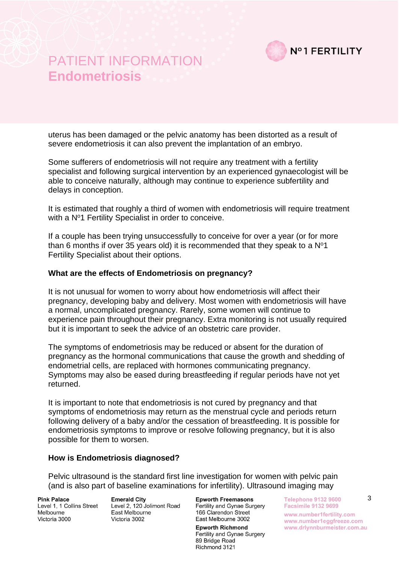

uterus has been damaged or the pelvic anatomy has been distorted as a result of severe endometriosis it can also prevent the implantation of an embryo.

Some sufferers of endometriosis will not require any treatment with a fertility specialist and following surgical intervention by an experienced gynaecologist will be able to conceive naturally, although may continue to experience subfertility and delays in conception.

It is estimated that roughly a third of women with endometriosis will require treatment with a Nº1 Fertility Specialist in order to conceive.

If a couple has been trying unsuccessfully to conceive for over a year (or for more than 6 months if over 35 years old) it is recommended that they speak to a  $N^{\circ}1$ Fertility Specialist about their options.

#### **What are the effects of Endometriosis on pregnancy?**

It is not unusual for women to worry about how endometriosis will affect their pregnancy, developing baby and delivery. Most women with endometriosis will have a normal, uncomplicated pregnancy. Rarely, some women will continue to experience pain throughout their pregnancy. Extra monitoring is not usually required but it is important to seek the advice of an obstetric care provider.

The symptoms of endometriosis may be reduced or absent for the duration of pregnancy as the hormonal communications that cause the growth and shedding of endometrial cells, are replaced with hormones communicating pregnancy. Symptoms may also be eased during breastfeeding if regular periods have not yet returned.

It is important to note that endometriosis is not cured by pregnancy and that symptoms of endometriosis may return as the menstrual cycle and periods return following delivery of a baby and/or the cessation of breastfeeding. It is possible for endometriosis symptoms to improve or resolve following pregnancy, but it is also possible for them to worsen.

#### **How is Endometriosis diagnosed?**

Pelvic ultrasound is the standard first line investigation for women with pelvic pain (and is also part of baseline examinations for infertility). Ultrasound imaging may

**Pink Palace** Level 1, 1 Collins Street Melbourne Victoria 3000

**Emerald City** Level 2, 120 Jolimont Road East Melbourne Victoria 3002

**Epworth Freemasons** Fertility and Gynae Surgery 166 Clarendon Street East Melbourne 3002

**Epworth Richmond** Fertility and Gynae Surgery 89 Bridge Road Richmond 3121

**Telephone 9132 9600 Facsimile 9132 9699** www.number1fertility.com www.number1eggfreeze.com www.drlynnburmeister.com.au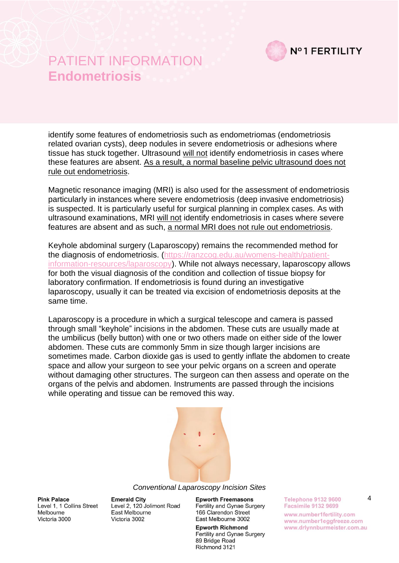

identify some features of endometriosis such as endometriomas (endometriosis related ovarian cysts), deep nodules in severe endometriosis or adhesions where tissue has stuck together. Ultrasound will not identify endometriosis in cases where these features are absent. As a result, a normal baseline pelvic ultrasound does not rule out endometriosis.

Magnetic resonance imaging (MRI) is also used for the assessment of endometriosis particularly in instances where severe endometriosis (deep invasive endometriosis) is suspected. It is particularly useful for surgical planning in complex cases. As with ultrasound examinations, MRI will not identify endometriosis in cases where severe features are absent and as such, a normal MRI does not rule out endometriosis.

Keyhole abdominal surgery (Laparoscopy) remains the recommended method for the diagnosis of endometriosis. [\(https://ranzcog.edu.au/womens-health/patient](https://ranzcog.edu.au/womens-health/patient-information-resources/laparoscopy)[information-resources/laparoscopy\)](https://ranzcog.edu.au/womens-health/patient-information-resources/laparoscopy). While not always necessary, laparoscopy allows for both the visual diagnosis of the condition and collection of tissue biopsy for laboratory confirmation. If endometriosis is found during an investigative laparoscopy, usually it can be treated via excision of endometriosis deposits at the same time.

Laparoscopy is a procedure in which a surgical telescope and camera is passed through small "keyhole" incisions in the abdomen. These cuts are usually made at the umbilicus (belly button) with one or two others made on either side of the lower abdomen. These cuts are commonly 5mm in size though larger incisions are sometimes made. Carbon dioxide gas is used to gently inflate the abdomen to create space and allow your surgeon to see your pelvic organs on a screen and operate without damaging other structures. The surgeon can then assess and operate on the organs of the pelvis and abdomen. Instruments are passed through the incisions while operating and tissue can be removed this way.



#### *Conventional Laparoscopy Incision Sites*

**Pink Palace** Level 1, 1 Collins Street Melbourne Victoria 3000

**Emerald City** Level 2, 120 Jolimont Road East Melbourne Victoria 3002

**Epworth Freemasons** Fertility and Gynae Surgery 166 Clarendon Street East Melbourne 3002

**Epworth Richmond** Fertility and Gynae Surgery 89 Bridge Road Richmond 3121

**Telephone 9132 9600 Facsimile 9132 9699** www.number1fertility.com www.number1eggfreeze.com www.drlynnburmeister.com.au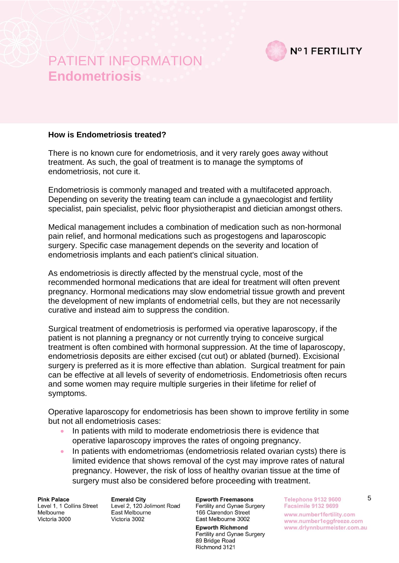

#### **How is Endometriosis treated?**

There is no known cure for endometriosis, and it very rarely goes away without treatment. As such, the goal of treatment is to manage the symptoms of endometriosis, not cure it.

Endometriosis is commonly managed and treated with a multifaceted approach. Depending on severity the treating team can include a gynaecologist and fertility specialist, pain specialist, pelvic floor physiotherapist and dietician amongst others.

Medical management includes a combination of medication such as non-hormonal pain relief, and hormonal medications such as progestogens and laparoscopic surgery. Specific case management depends on the severity and location of endometriosis implants and each patient's clinical situation.

As endometriosis is directly affected by the menstrual cycle, most of the recommended hormonal medications that are ideal for treatment will often prevent pregnancy. Hormonal medications may slow endometrial tissue growth and prevent the development of new implants of endometrial cells, but they are not necessarily curative and instead aim to suppress the condition.

Surgical treatment of endometriosis is performed via operative laparoscopy, if the patient is not planning a pregnancy or not currently trying to conceive surgical treatment is often combined with hormonal suppression. At the time of laparoscopy, endometriosis deposits are either excised (cut out) or ablated (burned). Excisional surgery is preferred as it is more effective than ablation. Surgical treatment for pain can be effective at all levels of severity of endometriosis. Endometriosis often recurs and some women may require multiple surgeries in their lifetime for relief of symptoms.

Operative laparoscopy for endometriosis has been shown to improve fertility in some but not all endometriosis cases:

- In patients with mild to moderate endometriosis there is evidence that operative laparoscopy improves the rates of ongoing pregnancy.
- In patients with endometriomas (endometriosis related ovarian cysts) there is limited evidence that shows removal of the cyst may improve rates of natural pregnancy. However, the risk of loss of healthy ovarian tissue at the time of surgery must also be considered before proceeding with treatment.

**Pink Palace** Level 1, 1 Collins Street Melbourne Victoria 3000

**Emerald City** Level 2, 120 Jolimont Road East Melbourne Victoria 3002

**Epworth Freemasons** Fertility and Gynae Surgery 166 Clarendon Street East Melbourne 3002

**Epworth Richmond** Fertility and Gynae Surgery 89 Bridge Road Richmond 3121

**Telephone 9132 9600 Facsimile 9132 9699** www.number1fertility.com www.number1eggfreeze.com www.drlynnburmeister.com.au